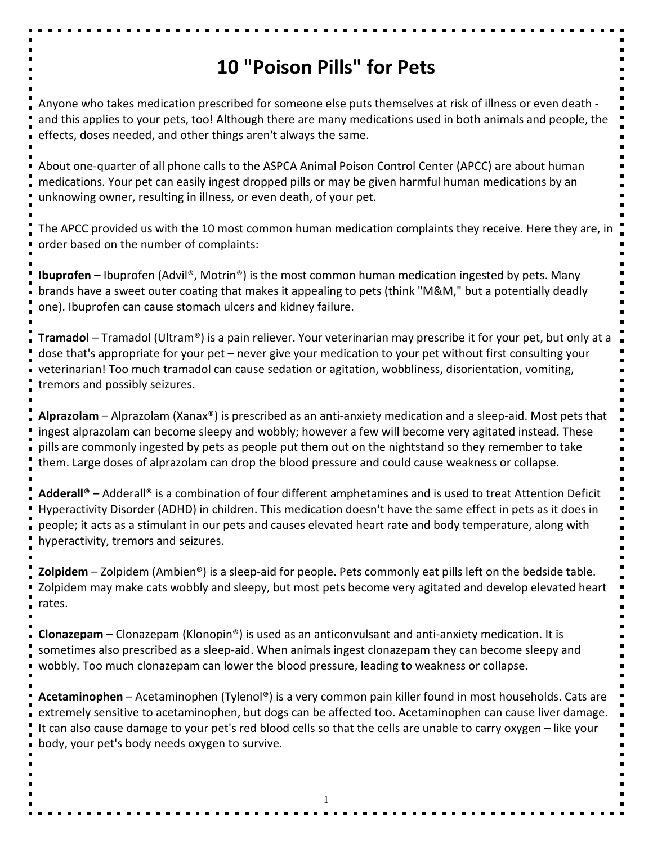## **10 "Poison Pills" for Pets**

Anyone who takes medication prescribed for someone else puts themselves at risk of illness or even death and this applies to your pets, too! Although there are many medications used in both animals and people, the effects, doses needed, and other things aren't always the same.

About one-quarter of all phone calls to the ASPCA Animal Poison Control Center (APCC) are about human medications. Your pet can easily ingest dropped pills or may be given harmful human medications by an unknowing owner, resulting in illness, or even death, of your pet.

The APCC provided us with the 10 most common human medication complaints they receive. Here they are, in order based on the number of complaints:

**Ibuprofen** – Ibuprofen (Advil®, Motrin®) is the most common human medication ingested by pets. Many brands have a sweet outer coating that makes it appealing to pets (think "M&M," but a potentially deadly one). Ibuprofen can cause stomach ulcers and kidney failure.

**Tramadol** – Tramadol (Ultram®) is a pain reliever. Your veterinarian may prescribe it for your pet, but only at a dose that's appropriate for your pet – never give your medication to your pet without first consulting your veterinarian! Too much tramadol can cause sedation or agitation, wobbliness, disorientation, vomiting, tremors and possibly seizures.

**Alprazolam** – Alprazolam (Xanax®) is prescribed as an anti-anxiety medication and a sleep-aid. Most pets that ingest alprazolam can become sleepy and wobbly; however a few will become very agitated instead. These pills are commonly ingested by pets as people put them out on the nightstand so they remember to take them. Large doses of alprazolam can drop the blood pressure and could cause weakness or collapse.

**Adderall®** – Adderall® is a combination of four different amphetamines and is used to treat Attention Deficit Hyperactivity Disorder (ADHD) in children. This medication doesn't have the same effect in pets as it does in people; it acts as a stimulant in our pets and causes elevated heart rate and body temperature, along with hyperactivity, tremors and seizures.

**Zolpidem** – Zolpidem (Ambien®) is a sleep-aid for people. Pets commonly eat pills left on the bedside table. Zolpidem may make cats wobbly and sleepy, but most pets become very agitated and develop elevated heart rates.

**Clonazepam** – Clonazepam (Klonopin®) is used as an anticonvulsant and anti-anxiety medication. It is sometimes also prescribed as a sleep-aid. When animals ingest clonazepam they can become sleepy and wobbly. Too much clonazepam can lower the blood pressure, leading to weakness or collapse.

**Acetaminophen** – Acetaminophen (Tylenol®) is a very common pain killer found in most households. Cats are extremely sensitive to acetaminophen, but dogs can be affected too. Acetaminophen can cause liver damage. It can also cause damage to your pet's red blood cells so that the cells are unable to carry oxygen – like your body, your pet's body needs oxygen to survive.